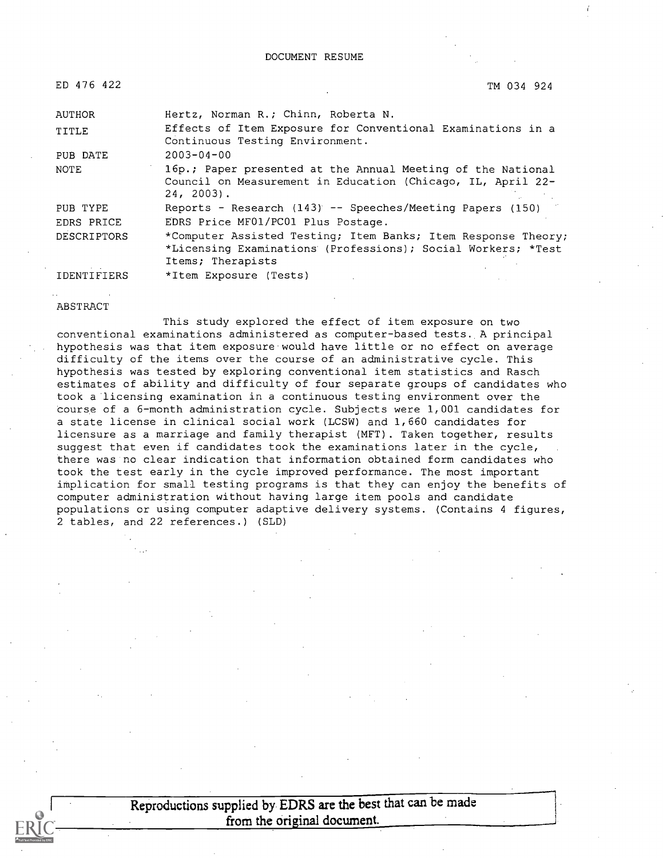| ED 476 422         | TM 034 924                                                                                                                                         |
|--------------------|----------------------------------------------------------------------------------------------------------------------------------------------------|
| AUTHOR             | Hertz, Norman R.; Chinn, Roberta N.                                                                                                                |
| TITLE              | Effects of Item Exposure for Conventional Examinations in a<br>Continuous Testing Environment.                                                     |
| PUB DATE           | $2003 - 04 - 00$                                                                                                                                   |
| <b>NOTE</b>        | 16p.; Paper presented at the Annual Meeting of the National<br>Council on Measurement in Education (Chicago, IL, April 22-<br>24, 2003).           |
| PUB TYPE           | Reports - Research (143) -- Speeches/Meeting Papers (150)                                                                                          |
| EDRS PRICE         | EDRS Price MF01/PC01 Plus Postage.                                                                                                                 |
| <b>DESCRIPTORS</b> | *Computer Assisted Testing; Item Banks; Item Response Theory;<br>*Licensing Examinations (Professions); Social Workers; *Test<br>Items; Therapists |
| <b>IDENTIFIERS</b> | *Item Exposure (Tests)                                                                                                                             |

#### ABSTRACT

This study explored the effect of item exposure on two conventional examinations administered as computer-based tests. A principal hypothesis was that item exposure would have little or no effect on average difficulty of the items over the course of an administrative cycle. This hypothesis was tested by exploring conventional item statistics and Rasch estimates of ability and difficulty of four separate groups of candidates who took a licensing examination in a continuous testing environment over the course of a 6-month administration cycle. Subjects were 1,001 candidates for a state license in clinical social work (LCSW) and 1,660 candidates for licensure as a marriage and family therapist (MFT). Taken together, results suggest that even if candidates took the examinations later in the cycle, there was no clear indication that information obtained form candidates who took the test early in the cycle improved performance. The most important implication for small testing programs is that they can enjoy the benefits of computer administration without having large item pools and candidate populations or using computer adaptive delivery systems. (Contains 4 figures, 2 tables, and 22 references.) (SLD)

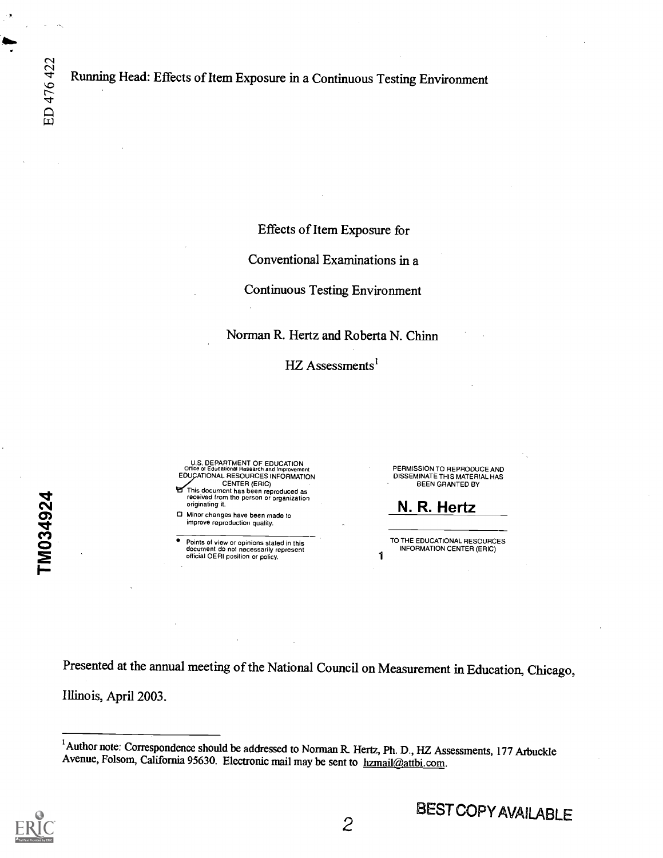ED 476 422

zr  $\mathbf{N}$ 

 $\boldsymbol{\Omega}$  and  $\boldsymbol{\Omega}$ 

**Contract Contract Street** 

Effects of Item Exposure for

Conventional Examinations in a

Continuous Testing Environment

Norman R. Hertz and Roberta N. Chinn

HZ Assessments<sup>1</sup>

U.S. DEPARTMENT OF EDUCATION<br>Office of Educational Research and Improvement Office of Educational Research and Improvement<br>EDUCATIONAL RESOURCES INFORMATION CENTER (ERIC)

This document has been reproduced as received from the person or organization originating it.

0 Minor changes have been made to improve reproduction quality.

Points of view or opinions stated in this<br>document do not necessarily represent<br>official OERI position or policy.

PERMISSION TO REPRODUCE AND DISSEMINATE THIS MATERIAL HAS BEEN GRANTED BY

N. R. Hertz

TO THE EDUCATIONAL RESOURCES INFORMATION CENTER (ERIC)

Presented at the annual meeting of the National Council on Measurement in Education, Chicago, Illinois, April 2003.

<sup>&</sup>lt;sup>1</sup> Author note: Correspondence should be addressed to Norman R. Hertz, Ph. D., HZ Assessments, 177 Arbuckle Avenue, Folsom, California 95630. Electronic mail may be sent to hzmail@attbi.com.

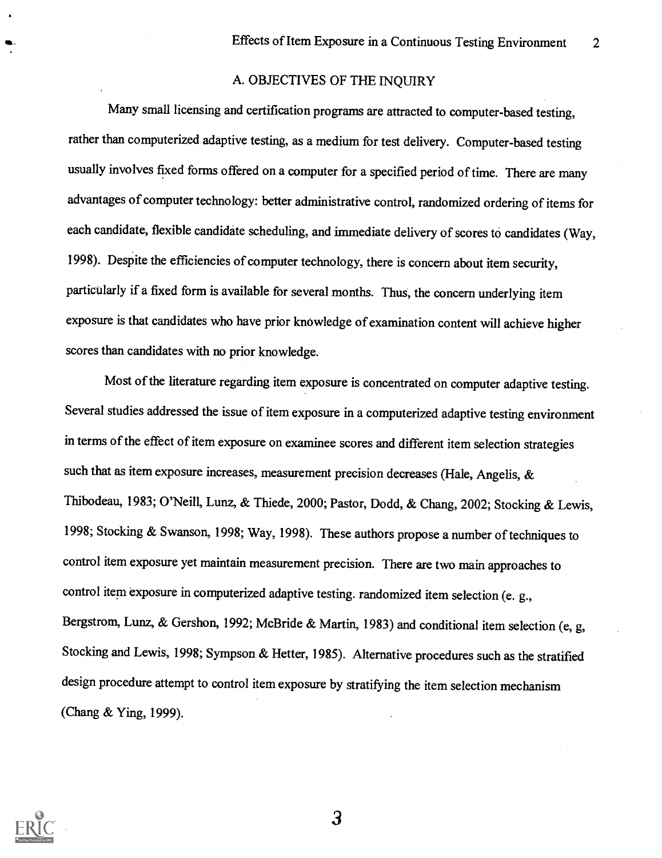#### A. OBJECTIVES OF THE INQUIRY

Many small licensing and certification programs are attracted to computer-based testing, rather than computerized adaptive testing, as a medium for test delivery. Computer-based testing usually involves fixed forms offered on a computer for a specified period of time. There are many advantages of computer technology: better administrative control, randomized ordering of items for each candidate, flexible candidate scheduling, and immediate delivery of scores to candidates (Way, 1998). Despite the efficiencies of computer technology, there is concern about item security, particularly if a fixed form is available for several months. Thus, the concern underlying item exposure is that candidates who have prior knowledge of examination content will achieve higher scores than candidates with no prior knowledge.

Most of the literature regarding item exposure is concentrated on computer adaptive testing. Several studies addressed the issue of item exposure in a computerized adaptive testing environment in terms of the effect of item exposure on examinee scores and different item selection strategies such that as item exposure increases, measurement precision decreases (Hale, Angelis, & Thibodeau, 1983; O'Neill, Lunz, & Thiede, 2000; Pastor, Dodd, & Chang, 2002; Stocking & Lewis, 1998; Stocking & Swanson, 1998; Way, 1998). These authors propose a number of techniques to control item exposure yet maintain measurement precision. There are two main approaches to control item exposure in computerized adaptive testing. randomized item selection (e. g., Bergstrom, Lunz, & Gershon, 1992; McBride & Martin, 1983) and conditional item selection (e, g, Stocking and Lewis, 1998; Sympson & Hetter, 1985). Alternative procedures such as the stratified design procedure attempt to control item exposure by stratifying the item selection mechanism (Chang & Ying, 1999).

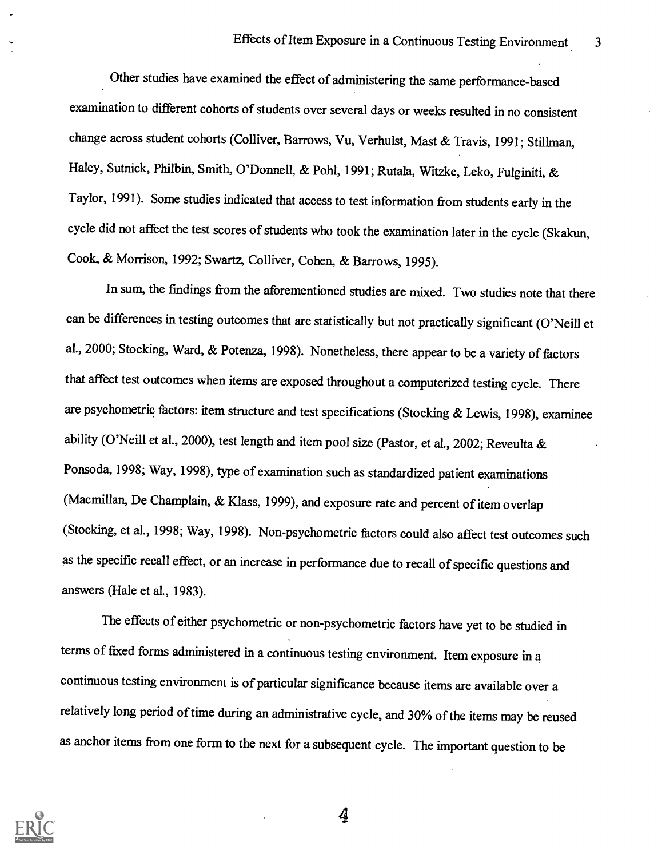Other studies have examined the effect of administering the same performance-based examination to different cohorts of students over several days or weeks resulted in no consistent change across student cohorts (Colliver, Barrows, Vu, Verhuist, Mast & Travis, 1991; Stillman, Haley, Sutnick, Philbin, Smith, O'Donnell, & Pohl, 1991; Rutala, Witzke, Leko, Fulginiti, & Taylor, 1991). Some studies indicated that access to test information from students early in the cycle did not affect the test scores of students who took the examination later in the cycle (Skakun, Cook, & Morrison, 1992; Swartz, Colliver, Cohen, & Barrows, 1995).

In sum, the findings from the aforementioned studies are mixed. Two studies note that there can be differences in testing outcomes that are statistically but not practically significant (O'Neill et al., 2000; Stocking, Ward, & Potenza, 1998). Nonetheless, there appear to be a variety of factors that affect test outcomes when items are exposed throughout a computerized testing cycle. There are psychometric factors: item structure and test specifications (Stocking & Lewis, 1998), examinee ability (O'Neill et al., 2000), test length and item pool size (Pastor, et al., 2002; Reveulta & Ponsoda, 1998; Way, 1998), type of examination such as standardized patient examinations (Macmillan, De Champlain, & Klass, 1999), and exposure rate and percent of item overlap (Stocking, et al., 1998; Way, 1998). Non-psychometric factors could also affect test outcomes such as the specific recall effect, or an increase in performance due to recall of specific questions and answers (Hale et al., 1983).

The effects of either psychometric or non-psychometric factors have yet to be studied in terms of fixed forms administered in a continuous testing environment. Item exposure in a continuous testing environment is of particular significance because items are available over a relatively long period of time during an administrative cycle, and 30% of the items may be reused as anchor items from one form to the next for a subsequent cycle. The important question to be

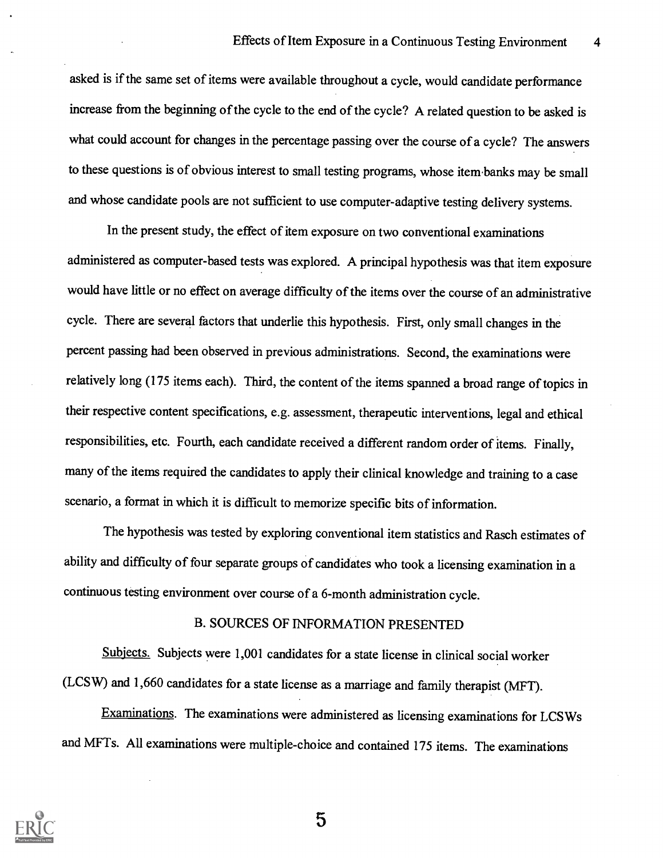asked is if the same set of items were available throughout a cycle, would candidate performance increase from the beginning of the cycle to the end of the cycle? A related question to be asked is what could account for changes in the percentage passing over the course of a cycle? The answers to these questions is of obvious interest to small testing programs, whose item banks may be small and whose candidate pools are not sufficient to use computer-adaptive testing delivery systems.

In the present study, the effect of item exposure on two conventional examinations administered as computer-based tests was explored. A principal hypothesis was that item exposure would have little or no effect on average difficulty of the items over the course of an administrative cycle. There are several factors that underlie this hypothesis. First, only small changes in the percent passing had been observed in previous administrations. Second, the examinations were relatively long (175 items each). Third, the content of the items spanned a broad range of topics in their respective content specifications, e.g. assessment, therapeutic interventions, legal and ethical responsibilities, etc. Fourth, each candidate received a different random order of items. Finally, many of the items required the candidates to apply their clinical knowledge and training to a case scenario, a format in which it is difficult to memorize specific bits of information.

The hypothesis was tested by exploring conventional item statistics and Rasch estimates of ability and difficulty of four separate groups of candidates who took a licensing examination in a continuous testing environment over course of a 6-month administration cycle.

### B. SOURCES OF INFORMATION PRESENTED

Subjects. Subjects were 1,001 candidates for a state license in clinical social worker (LCSW) and 1,660 candidates for a state license as a marriage and family therapist (MFT).

Examinations. The examinations were administered as licensing examinations for LCSWs and MFTs. All examinations were multiple-choice and contained 175 items. The examinations

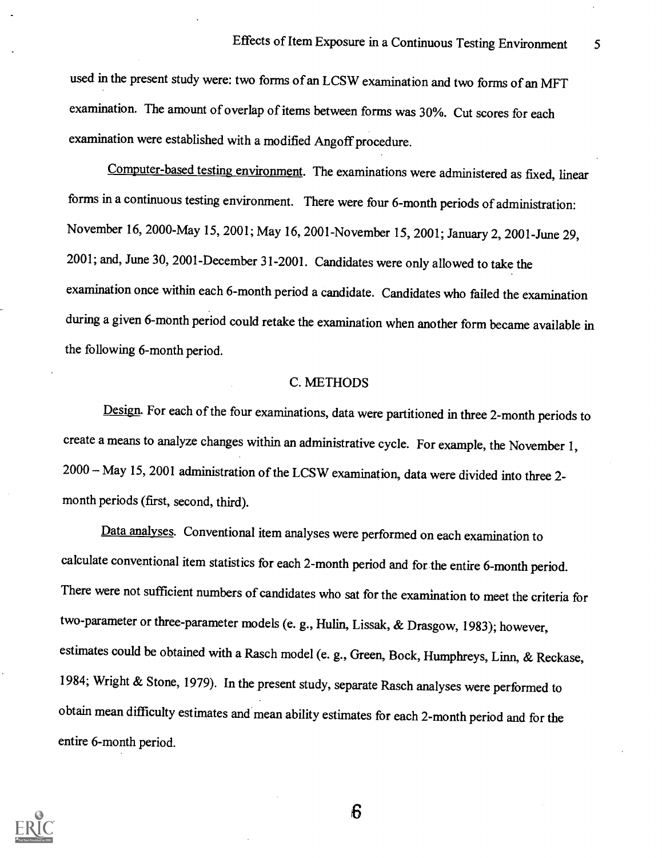used in the present study were: two forms of an LCSW examination and two forms of an MFT examination. The amount of overlap of items between forms was 30%. Cut scores for each examination were established with a modified Angoff procedure.

Computer-based testing environment. The examinations were administered as fixed, linear forms in a continuous testing environment. There were four 6-month periods of administration: November 16, 2000-May 15, 2001; May 16, 2001-November 15, 2001; January 2, 2001-June 29, 2001; and, June 30, 2001-December 31-2001. Candidates were only allowed to take the examination once within each 6-month period a candidate. Candidates who failed the examination during a given 6-month period could retake the examination when another form became available in the following 6-month period.

#### C. METHODS

Design. For each of the four examinations, data were partitioned in three 2-month periods to create a means to analyze changes within an administrative cycle. For example, the November 1, 2000 May 15, 2001 administration of the LCSWexamination, data were divided into three 2 month periods (first, second, third).

Data analyses. Conventional item analyses were performed on each examination to calculate conventional item statistics for each 2-month period and for the entire 6-month period. There were not sufficient numbers of candidates who sat for the examination to meet the criteria for two-parameter or three-parameter models (e. g., Hulin, Lissak, & Drasgow, 1983); however, estimates could be obtained with a Rasch model (e. g., Green, Bock, Humphreys, Linn, & Reckase, 1984; Wright & Stone, 1979). In the present study, separate Rasch analyses were performed to obtain mean difficulty estimates and mean ability estimates for each 2-month period and for the entire 6-month period.



 $6\phantom{1}6$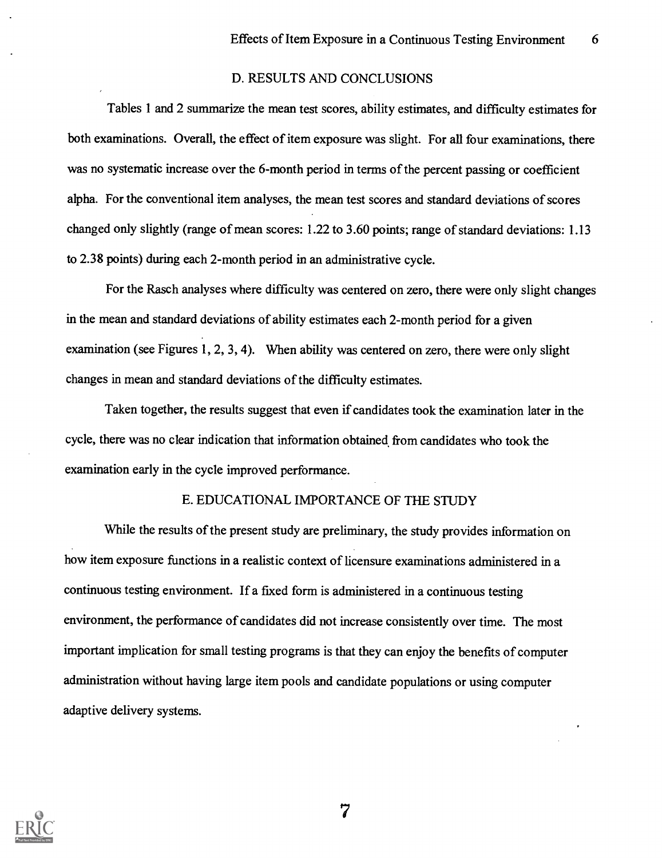#### D. RESULTS AND CONCLUSIONS

Tables 1 and 2 summarize the mean test scores, ability estimates, and difficulty estimates for both examinations. Overall, the effect of item exposure was slight. For all four examinations, there was no systematic increase over the 6-month period in terms of the percent passing or coefficient alpha. For the conventional item analyses, the mean test scores and standard deviations of scores changed only slightly (range of mean scores: 1.22 to 3.60 points; range of standard deviations: 1.13 to 2.38 points) during each 2-month period in an administrative cycle.

For the Rasch analyses where difficulty was centered on zero, there were only slight changes in the mean and standard deviations of ability estimates each 2-month period for a given examination (see Figures 1, 2, 3, 4). When ability was centered on zero, there were only slight changes in mean and standard deviations of the difficulty estimates.

Taken together, the results suggest that even if candidates took the examination later in the cycle, there was no clear indication that information obtained from candidates who took the examination early in the cycle improved performance.

#### E. EDUCATIONAL IMPORTANCE OF THE STUDY

While the results of the present study are preliminary, the study provides information on how item exposure functions in a realistic context of licensure examinations administered in a continuous testing environment. If a fixed form is administered in a continuous testing environment, the performance of candidates did not increase consistently over time. The most important implication for small testing programs is that they can enjoy the benefits of computer administration without having large item pools and candidate populations or using computer adaptive delivery systems.

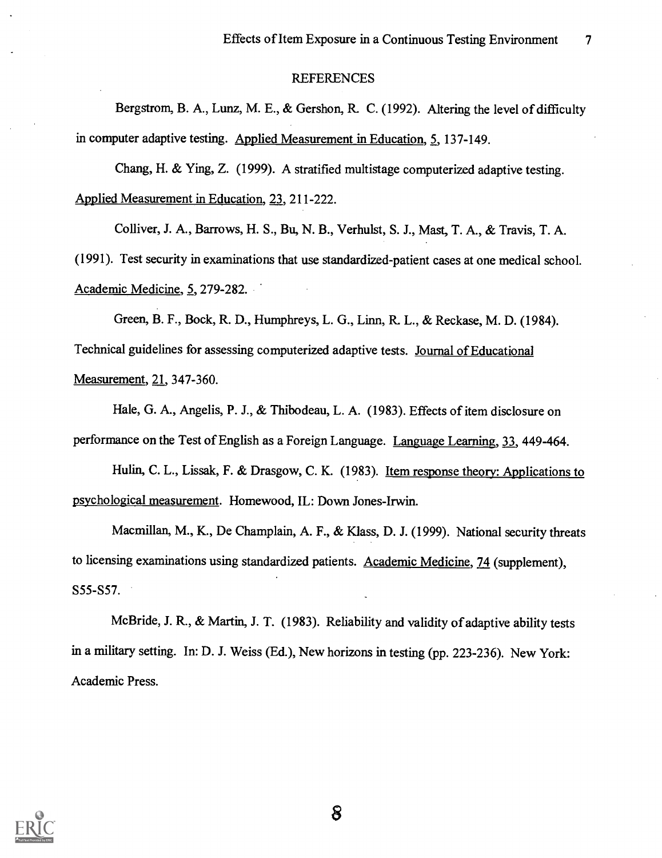#### REFERENCES

Bergstrom, B. A., Lunz, M. E., & Gershon, R. C. (1992). Altering the level of difficulty in computer adaptive testing. Applied Measurement in Education, 5, 137-149.

Chang, H. & Ying, Z. (1999). A stratified multistage computerized adaptive testing. Applied Measurement in Education, 23, 211-222.

Colliver, J. A., Barrows, H. S., Bu, N. B., Verhuist, S. J., Mast, T. A., & Travis, T. A.

(1991). Test security in examinations that use standardized-patient cases at one medical school. Academic Medicine, 5, 279-282.

Green, B. F., Bock, R. D., Humphreys, L. G., Linn, R. L., & Reckase, M. D. (1984). Technical guidelines for assessing computerized adaptive tests. Journal of Educational Measurement, 21, 347-360.

Hale, G. A., Angelis, P. J., & Thibodeau, L. A. (1983). Effects of item disclosure on performance on the Test of English as a Foreign Language. Language Learning, 33, 449-464.

Hulin, C. L., Lissak, F. & Drasgow, C. K. (1983). Item response theory: Applications to psychological measurement. Homewood, IL: Down Jones-Irwin.

Macmillan, M., K., De Champlain, A. F., & Klass, D. J. (1999). National security threats to licensing examinations using standardized patients. Academic Medicine, 74 (supplement), S55-S57.

McBride, J. R., & Martin, J. T. (1983). Reliability and validity of adaptive ability tests in a military setting. In: D. J. Weiss (Ed.), New horizons in testing (pp. 223-236). New York: Academic Press.

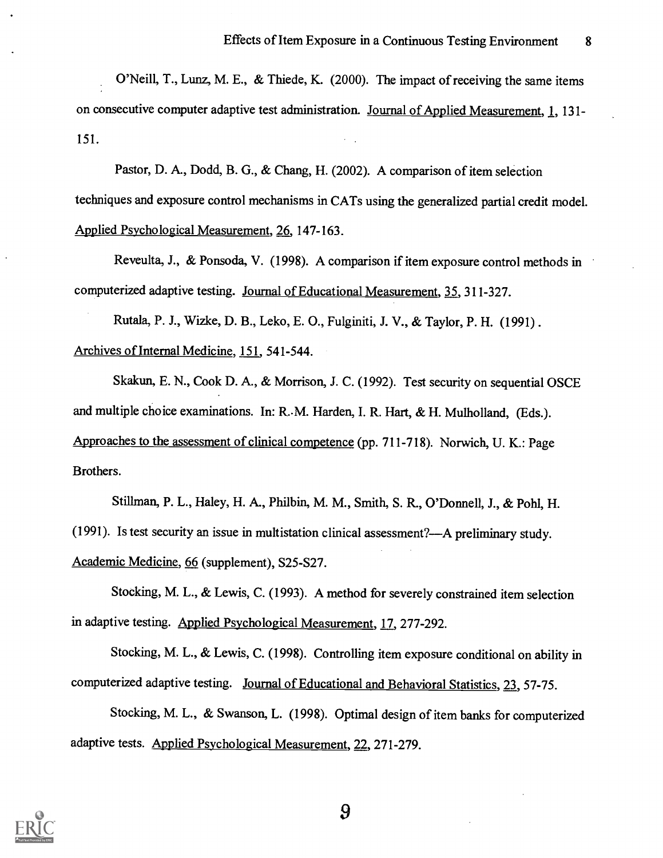O'Neill, T., Lunz, M. E., & Thiede, K. (2000). The impact of receiving the same items on consecutive computer adaptive test administration. Journal of Applied Measurement, 1, 131- 151.

Pastor, D. A., Dodd, B. G., & Chang, H. (2002). A comparison of item selection techniques and exposure control mechanisms in CATs using the generalized partial credit model. Applied Psychological Measurement, 26, 147-163.

Reveulta, J., & Ponsoda, V. (1998). A comparison if item exposure control methods in computerized adaptive testing. Journal of Educational Measurement, 35, 311-327.

Rutala, P. J., Wizke, D. B., Leko, E. 0., Fulginiti, J. V., & Taylor, P. H. (1991) . Archives of Internal Medicine, 151, 541-544.

Skakun, E. N., Cook D. A., & Morrison, J. C. (1992). Test security on sequential OSCE and multiple choice examinations. In: R..M. Harden, I. R. Hart, & H. Mulholland, (Eds.). Approaches to the assessment of clinical competence (pp. 711-718). Norwich, U. K.: Page Brothers.

Stillman, P. L., Haley, H. A., Philbin, M. M., Smith, S. R, O'Donnell, J., & Pohl, H. (1991). Is test security an issue in multistation clinical assessment?—A preliminary study. Academic Medicine, 66 (supplement), S25-S27.

Stocking, M. L., & Lewis, C. (1993). A method for severely constrained item selection in adaptive testing. Applied Psychological Measurement, 17, 277-292.

Stocking, M. L., & Lewis, C. (1998). Controlling item exposure conditional on ability in computerized adaptive testing. Journal of Educational and Behavioral Statistics, 23, 57-75.

Stocking, M. L., & Swanson, L. (1998). Optimal design of item banks for computerized adaptive tests. Applied Psychological Measurement, 22, 271-279.

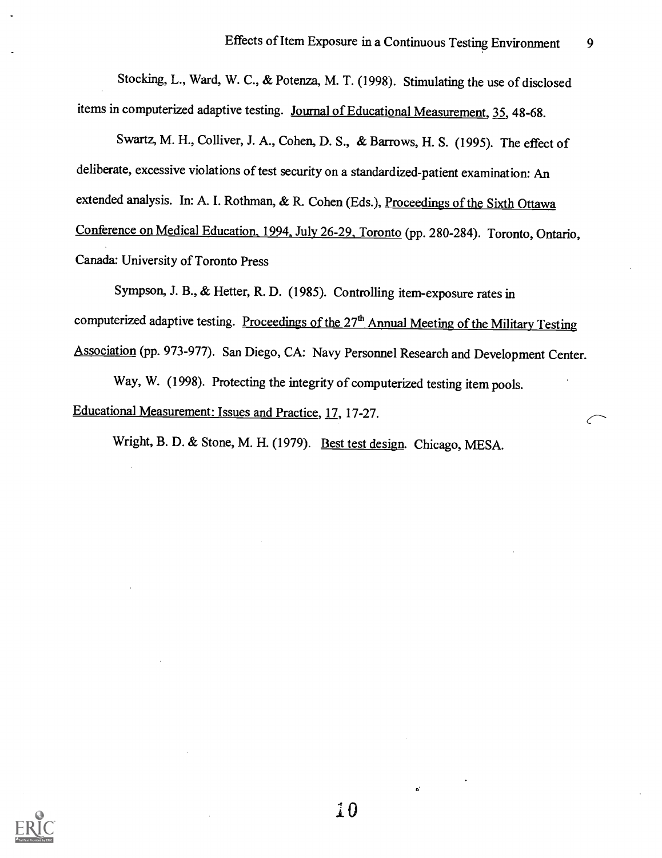Stocking, L., Ward, W. C., & Potenza, M. T. (1998). Stimulating the use of disclosed items in computerized adaptive testing. Journal of Educational Measurement, 35, 48-68.

Swartz, M. H., Colliver, J. A., Cohen, D. S., & Barrows, H. S. (1995). The effect of deliberate, excessive violations of test security on a standardized-patient examination: An extended analysis. In: A. I. Rothman, & R. Cohen (Eds.), Proceedings of the Sixth Ottawa Conference on Medical Education, 1994, July 26-29, Toronto (pp. 280-284). Toronto, Ontario, Canada: University of Toronto Press

Sympson, J. B., & Hetter, R. D. (1985). Controlling item-exposure rates in computerized adaptive testing. Proceedings of the 27<sup>th</sup> Annual Meeting of the Military Testing Association (pp. 973-977). San Diego, CA: Navy Personnel Research and Development Center.

Way, W. (1998). Protecting the integrity of computerized testing item pools. Educational Measurement: Issues and Practice, 17, 17-27.

Wright, B. D. & Stone, M. H. (1979). Best test design. Chicago, MESA.



0

ď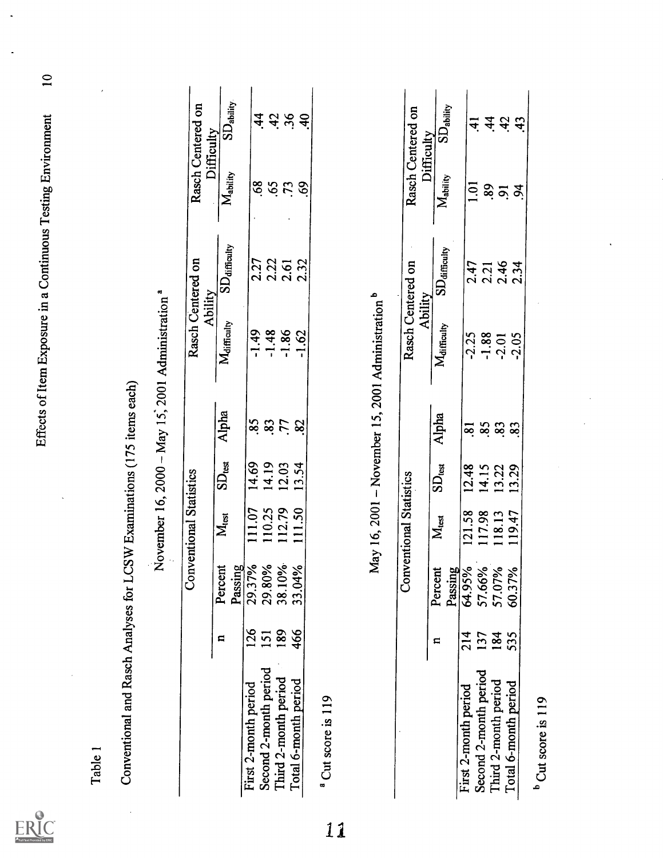$ER_{\underbrace{\text{C}}_{\text{A}}\text{C}}$ 

 $\ddot{\phantom{0}}$ 

|         |                                     |                                                              | Rasch Centered on<br>Difficulty | SD <sub>ability</sub><br>$M_{\text{ability}}$ | $\dot{4}$<br>$\frac{8}{9}$ | <b>65</b>             | 4.36<br>$\ddot{u}$   | $\overline{4}$<br>8  |                               |                                                 | ζ<br>p                  |
|---------|-------------------------------------|--------------------------------------------------------------|---------------------------------|-----------------------------------------------|----------------------------|-----------------------|----------------------|----------------------|-------------------------------|-------------------------------------------------|-------------------------|
|         |                                     |                                                              | Rasch Centered on<br>Ability    | $SD_{\text{diffously}}$<br>Maifficulty        | 2.27<br>$-1.49$            | 2.22<br>$-1.48$       | 2.61<br>$-1.86$      | 2.32<br>$-1.62$      |                               | ۰                                               | Racch Cantarod on       |
|         | LCSW Examinations (175 items each)  | November 16, 2000 - May 15, 2001 Administration <sup>a</sup> |                                 | Alpha<br>$SD_{test}$                          | 85.<br>14.69               | 83.<br>14.19          | .77<br>12.03         | 82<br>13.54          |                               | May 16, 2001 - November 15, 2001 Administration |                         |
|         |                                     |                                                              | <b>Conventional Statistics</b>  | $M_{\text{test}}$                             | 11.07                      | 110.25                | 112.79               | 111.50               |                               |                                                 | Conventional Statistics |
|         |                                     |                                                              |                                 | Passing<br>Percent                            | 29.37%<br>29.80%<br>38.10% |                       |                      | 33.04%               |                               |                                                 |                         |
|         |                                     |                                                              |                                 |                                               | 126                        | 151<br>189            |                      | 466                  |                               |                                                 |                         |
| Table 1 | Conventional and Rasch Analyses for |                                                              |                                 |                                               | First 2-month period       | Second 2-month period | Third 2-month period | Total 6-month period | <sup>a</sup> Cut score is 119 |                                                 |                         |

|                                                                                               |            |                                      | <b>Conventional Statistics</b> |             |                      |             | Rasch Centered on<br>Ability |                       | Rasch Centered on<br>Difficulty |
|-----------------------------------------------------------------------------------------------|------------|--------------------------------------|--------------------------------|-------------|----------------------|-------------|------------------------------|-----------------------|---------------------------------|
|                                                                                               |            | Passing<br>Percent                   | M <sub>test</sub>              | $SD_{test}$ | Alpha                | Maifficulty | <b>SD</b> difficulty         | Mability              | SD <sub>ability</sub>           |
| First 2-month period<br>Second 2-month period<br>Third 2-month period<br>Total 6-month period | 214        | 64.95%<br>57.66%<br>57.07%<br>60.37% | 121.58                         | 12.48       | $\tilde{\mathbf{s}}$ | $-2.25$     | 2.47                         | 1.01                  |                                 |
|                                                                                               | 137<br>184 |                                      | 117.98                         | 14.15       | 85.                  | $-1.88$     | 2.21                         |                       | 4.                              |
|                                                                                               |            |                                      | 118.13                         | 13.22       | 83                   | $-2.01$     | 2.46                         | 89.<br>$\overline{5}$ | $\dot{4}$ $\dot{5}$             |
|                                                                                               | 535        |                                      |                                |             |                      |             |                              |                       |                                 |
|                                                                                               |            |                                      | 119.47                         | 13.29       | 83                   | $-2.05$     | 2.34                         | z                     | $\ddot{4}$                      |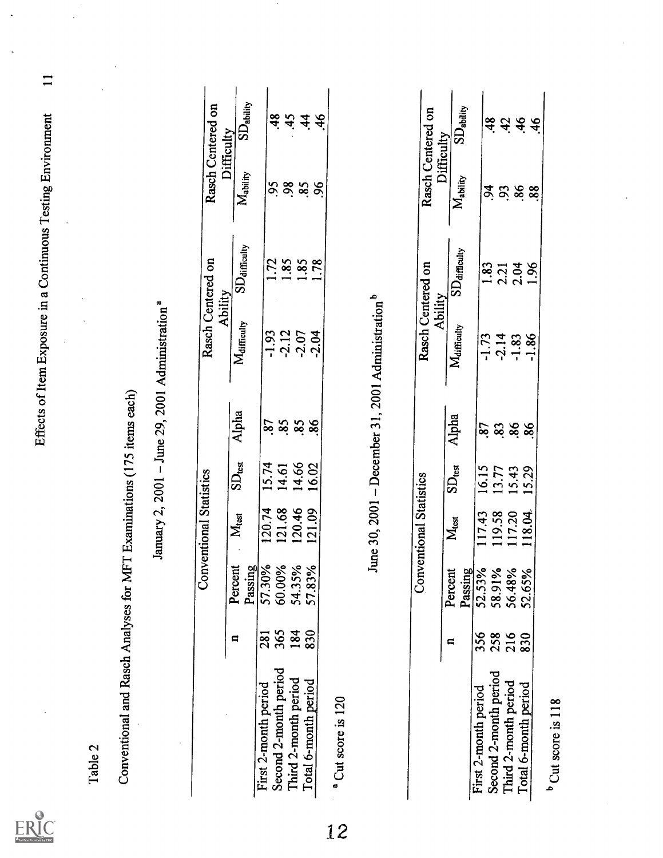

Effects of Item Exposure in a Continuous Testing Environment 11

| June 30, 2001 – December 31, 2001 Administration <sup>b</sup><br><b>Conventional Statistics</b><br><b>Conventional Statistics</b><br>57.30%<br>60.00%<br>54.35%<br>ins<br>Passing<br>57.83%<br>$\frac{5}{6}$<br>52.53%<br>56.48%<br>Passing<br>52.65%<br>Percent<br>Percy<br>58.91<br>365<br>184<br>830<br>281<br>356<br>258<br>216<br>830<br>$\blacksquare$<br>$\blacksquare$ |
|--------------------------------------------------------------------------------------------------------------------------------------------------------------------------------------------------------------------------------------------------------------------------------------------------------------------------------------------------------------------------------|
|--------------------------------------------------------------------------------------------------------------------------------------------------------------------------------------------------------------------------------------------------------------------------------------------------------------------------------------------------------------------------------|

 $\bullet$ 

| Rasch Centered on              | Difficulty | SD <sub>ability</sub>                                      |                      |        | $\frac{8}{4}$         | 7, 4, 6                       |                      |        |  |
|--------------------------------|------------|------------------------------------------------------------|----------------------|--------|-----------------------|-------------------------------|----------------------|--------|--|
|                                |            | $M_{\text{ability}}$                                       |                      |        |                       | <b>3.5.8.8</b>                |                      |        |  |
| Rasch Centered on<br>Ability   |            | $SD_{\text{diffculus}}$                                    |                      |        |                       | 82138<br>12141                |                      |        |  |
|                                |            | Maifficulty                                                |                      |        |                       | $-1.73$<br>$-1.83$<br>$-1.86$ |                      |        |  |
|                                |            | Alpha                                                      |                      |        |                       | 82888                         |                      |        |  |
|                                |            | $\mathrm{SD}_{\mathrm{test}}$                              |                      | 16.15  | 13.77                 | 15.43                         |                      | 15.29  |  |
| <b>Conventional Statistics</b> |            | $M_{\rm test}$                                             |                      | 117.43 | 119.58                | 117.20                        |                      | 118.04 |  |
|                                |            | Passing<br>12.53%<br>58.91%<br>56.48%<br>52.65%<br>Percent |                      |        |                       |                               |                      |        |  |
|                                |            |                                                            | 356                  |        |                       | 258<br>216<br>830             |                      |        |  |
|                                |            |                                                            | First 2-month period |        | Second 2-month period | Third 2-month period          | Total 6-month period |        |  |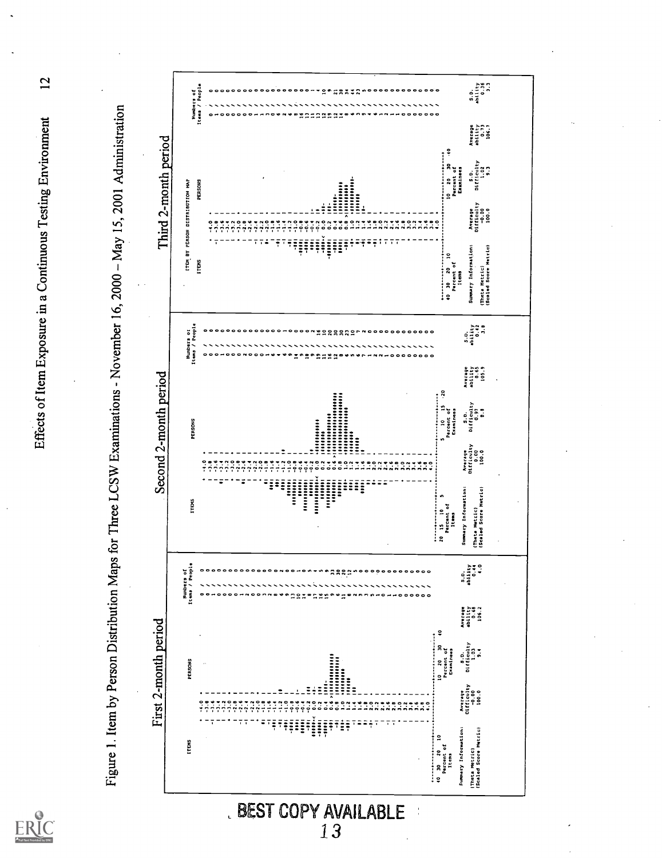$ERIC$ 

 $\overline{2}$ Effects of Item Exposure in a Continuous Testing Environment



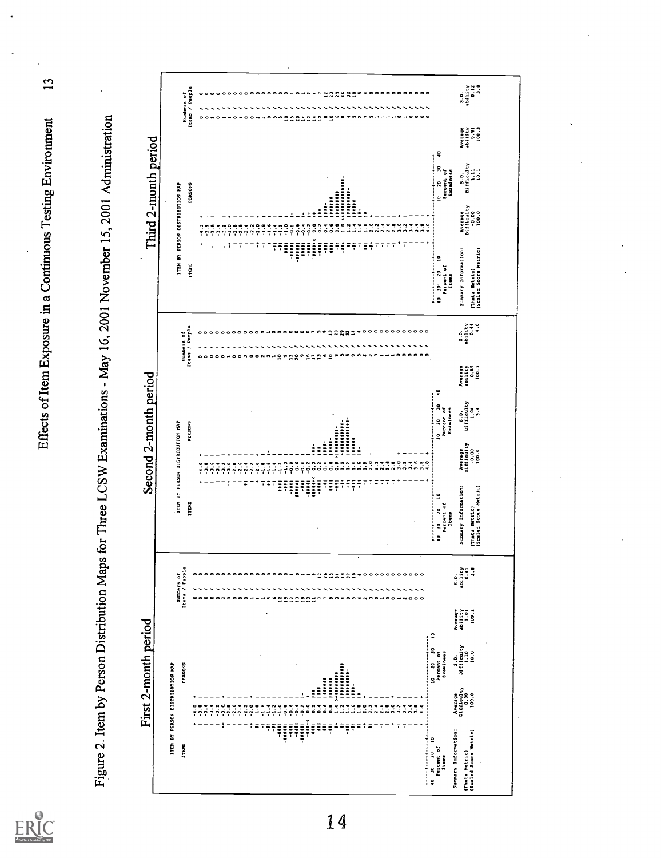$ER_{\overline{\mathcal{C}}}$ 

Effects of Item Exposure in a Continuous Testing Environment

 $\overline{13}$ 

Figure 2. Item by Person Distribution Maps for Three LCSW Examinations - May 16, 2001 November 15, 2001 Administration

|                       |                                 | Items / Paople<br>Numbers of | <b>NASERS</b><br>$\bullet$<br>۰<br>000<br>$\circ$<br><br>$\bullet$<br>Н<br>$\overline{\phantom{a}}$                                                                                                                                                                                                                                                                                                                                                                                                                                                                      | 0.111148<br>2110<br>211148<br>$\ddot{a}$                                                                                                                                                                                                                                                       |
|-----------------------|---------------------------------|------------------------------|--------------------------------------------------------------------------------------------------------------------------------------------------------------------------------------------------------------------------------------------------------------------------------------------------------------------------------------------------------------------------------------------------------------------------------------------------------------------------------------------------------------------------------------------------------------------------|------------------------------------------------------------------------------------------------------------------------------------------------------------------------------------------------------------------------------------------------------------------------------------------------|
|                       |                                 |                              | ė<br>÷,<br>œ<br>2<br>5<br>읐<br>22<br>۰                                                                                                                                                                                                                                                                                                                                                                                                                                                                                                                                   | Average<br>$\begin{smallmatrix} 0.91 & 0.91 & 0.91 & 0.91 & 0.91 & 0.91 & 0.91 & 0.91 & 0.91 & 0.91 & 0.91 & 0.91 & 0.91 & 0.91 & 0.91 & 0.91 & 0.91 & 0.91 & 0.91 & 0.91 & 0.91 & 0.91 & 0.91 & 0.91 & 0.91 & 0.91 & 0.91 & 0.91 & 0.91 & 0.91 & 0.91 & 0.91 & 0.91 & 0.91 & 0.91 & 0.9$<br>ş |
| Third 2-month period  |                                 | PERSONS                      |                                                                                                                                                                                                                                                                                                                                                                                                                                                                                                                                                                          | Difficulty<br>š<br>$\frac{1}{2}$<br>Examinees<br>Percent of<br>ن<br>ة<br>20<br>$\overline{a}$                                                                                                                                                                                                  |
|                       | TTEM BY PERSON DISTRIBUTION MAP |                              | $1.0 \times 10000000$<br><u>issue</u><br>i<br>$\frac{1}{2}$<br>$\frac{1}{2}$<br>÷<br>$\ddot{=}$<br>A<br>$\overline{1}$<br>÷<br>፣<br>2.0<br>$\frac{1}{2}$<br>$\mathbb{Z}^*$<br>$\ddot{ }$ :<br>$\ddot{ }$<br>$\ddot{ }$<br>្តុំ<br>្ណុ<br>$\ddot{\cdot}$<br>$\ddot{ }$<br>$-0.6$<br>$\frac{1}{2}$<br>$\frac{5}{3}$<br>$\tilde{\cdot}$<br>្នំ<br>$\ddot{ }$<br>3.<br>$\ddot{ }$<br>$\frac{1}{4}$<br>$\frac{1}{2}$<br>$-3.0$<br>$\frac{1}{2}$<br>$\frac{2}{3}$<br>$-2.0$<br>$\frac{1}{2}$<br>ុំ<br>$\frac{1}{2}$<br>$-2.6$<br>ş<br>$\frac{1}{2}$<br>$\frac{1}{2}$<br>7<br>7 | Difficulty<br>Average<br>$-0.001$                                                                                                                                                                                                                                                              |
|                       |                                 | <b>ITEHS</b>                 | ŦĬŦ<br>÷<br>Ξ÷<br>$\frac{1}{2}$<br>$\overline{\phantom{0}}$<br>٠<br>÷<br>÷<br>$\overline{\overline{}}$<br>T<br>Ŧ<br>Ŧ<br>Ŧ<br>÷<br>t<br>Ē<br>T<br>T<br>Ţ<br>÷<br>Ξ<br>ment de la propietat de la propietat de la propietat de la propietat de la propietat de la propietat de la pro<br>De la propietat de la propietat de la propietat de la propietat de la propietat de la propietat de la propieta<br>÷<br>Ŧ<br>╦<br>7<br><b>****************</b>                                                                                                                    | Summary Information:<br>(Scaled Score Metric)<br>$\tilde{a}$<br>Percent of<br>$10^{12}$ $20^{12}$<br>(Theta Metric)<br>item                                                                                                                                                                    |
|                       | Numbers of                      | Items / People               | naann<br>$\scriptstyle\bullet$ ooooooooooo<br>n o<br>$00000$<br>$\bullet$<br>۰<br>$\bullet$<br>$\bullet$<br>۰<br>$\bullet$<br>۰<br>۰<br>۰<br>۰<br>28<br>ø<br>З<br>φ<br>å<br>2<br>۰<br>۵Ė<br>n o<br>۰<br>$\bullet$<br>۰<br>۰<br>۰                                                                                                                                                                                                                                                                                                                                         | 0.44<br>0.44<br>0.44<br>s . 8                                                                                                                                                                                                                                                                  |
|                       |                                 |                              |                                                                                                                                                                                                                                                                                                                                                                                                                                                                                                                                                                          | 111117<br>0.85<br>100.1<br>Aver 19<br>Ş                                                                                                                                                                                                                                                        |
| Second 2-month period |                                 | PERSONS                      | $\cdots$                                                                                                                                                                                                                                                                                                                                                                                                                                                                                                                                                                 | $\begin{array}{c} \text{putivity} \\ \text{1.04} \\ \text{3.1} \end{array}$<br>$10 \t 20 \t 30$<br>Percent of<br>Examinees<br>ة.<br>ة                                                                                                                                                          |
|                       | ITEM BY PERSON DISTRIBUTION MAP |                              | $\ddot{ }$<br>i<br>İ<br>$\frac{1}{2}$<br>$\ddot{ }$<br>222<br>្តី<br>ິ່<br>$\ddot{ }$<br>$\ddot{ }$<br>$\ddot{\cdot}$<br>$\frac{6}{1}$<br>5,000<br>$\frac{1}{2}$<br>$\tilde{\vec{a}}$<br>$\ddot{ }$<br>$\frac{1}{1}$<br>$\ddot{z}$<br>inger<br>Titel<br>7.70<br>$\frac{1}{1}$<br>$\frac{3}{1}$<br>$-0.0$<br>ž<br>$\frac{1}{4}$                                                                                                                                                                                                                                           | Average<br>Difficulty<br>-0.00<br>100.0                                                                                                                                                                                                                                                        |
|                       |                                 | <b>ITENS</b>                 | ÷<br>$\ddot{\phantom{a}}$<br>ī<br>Ę<br>$\overline{\overline{}}$<br>Ŧ<br>ļ<br>$\overline{1}$<br>ş<br>7<br>Ξ<br>ī<br>i<br>Popular<br>Ŧ<br>t<br>757<br>77<br>ī<br>5<br>+----+----+---+                                                                                                                                                                                                                                                                                                                                                                                      | Summary Information:<br>(Scaled Score Metric)<br>$10$ $20$ $10$<br>Percent of<br>(Theta Metric)<br>Items<br>ş                                                                                                                                                                                  |
|                       | Items / People<br>Numbers of    | ۰                            | $\bullet$<br>°°°°°°°°°°°°<br>- - - - - - - - - - - - -<br>$^{\circ}$<br>                                                                                                                                                                                                                                                                                                                                                                                                                                                                                                 | ability<br>0.41<br>5.6<br>s. 0.                                                                                                                                                                                                                                                                |
|                       |                                 |                              | Ş                                                                                                                                                                                                                                                                                                                                                                                                                                                                                                                                                                        | Average<br>1911<br>1911<br>1932<br>1933                                                                                                                                                                                                                                                        |
| First 2-month period  | PERSONS                         |                              | <br>$10^{10}$ 20 30<br>,,,,,,,,,,,<br>---------<br>$\frac{1}{2}$<br>$\frac{1}{2}$<br>i                                                                                                                                                                                                                                                                                                                                                                                                                                                                                   | $\frac{110}{100}$<br>Percent of<br>Examinees<br>.ن<br>پ                                                                                                                                                                                                                                        |
|                       | ITEM BY PERSON DISTRIBUTION MAP |                              | $\frac{1.0 \times 0.00000}{1.2 \times 0.000000}$<br>i<br>÷<br>$\ddot{\circ}$<br>$\ddot{\phantom{0}}$<br>$\ddot{.}$<br>ິ<br>$\ddot{\phantom{0}}$<br>$\ddot{\phantom{0}}$<br>$\ddot{\phantom{0}}$<br>E,<br>៓<br>2.2<br>ុំ<br>$-2.0$<br>÷<br>77<br>$\ddot{\cdot}$<br>$\ddot{\cdot}$<br>$\ddot{ }$ :<br>$\ddot{ }$<br>$\frac{1}{2}$<br>$-0.2$<br>ă<br>៊ុ<br>$\frac{1}{1}$<br>៓<br>៊ុ<br>ř<br>ě<br>Ñ                                                                                                                                                                          | Average<br>Difficulty<br>0.00<br>100.0                                                                                                                                                                                                                                                         |
|                       | ITEMS                           |                              | ž<br>is a final<br>$\ddot{ }$<br>ļ<br>Ξ<br>Ξ<br>$\frac{1}{2}$<br>ē<br>÷<br>Ξ<br>t<br>Ī<br>Ī<br>$\frac{1}{2}$<br>t<br>$\overline{\overline{}}$<br>ļ<br>÷<br>7<br>÷<br>Ξ<br>Ŧ<br>ī<br>$30 \t 20 \t 10$<br>+---------------<br>ş                                                                                                                                                                                                                                                                                                                                            | Summary Information:<br>(Scaled Score Metric)<br>Percent of<br>(Theta Metric)<br>Items                                                                                                                                                                                                         |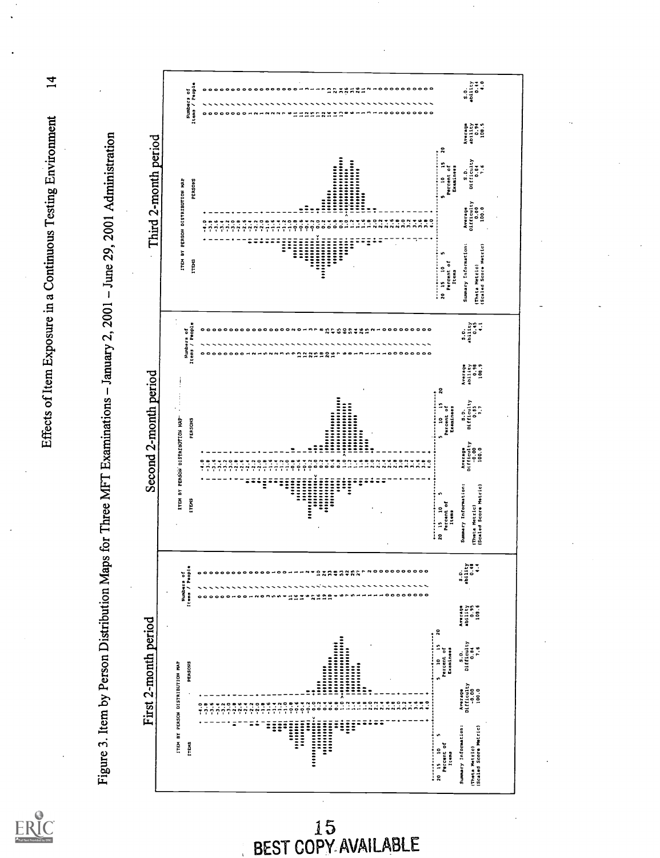Effects of Item Exposure in a Continuous Testing Environment

ERIC

 $\overline{1}$ 





15<br>BEST COPY AVAILABLE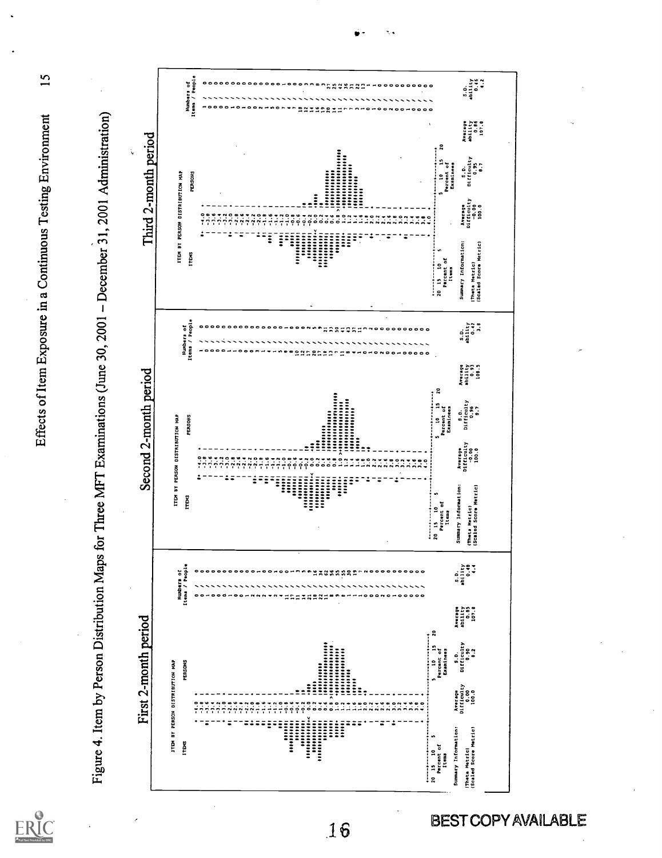Effects of Item Exposure in a Continuous Testing Environment

ERIC

 $15$ 



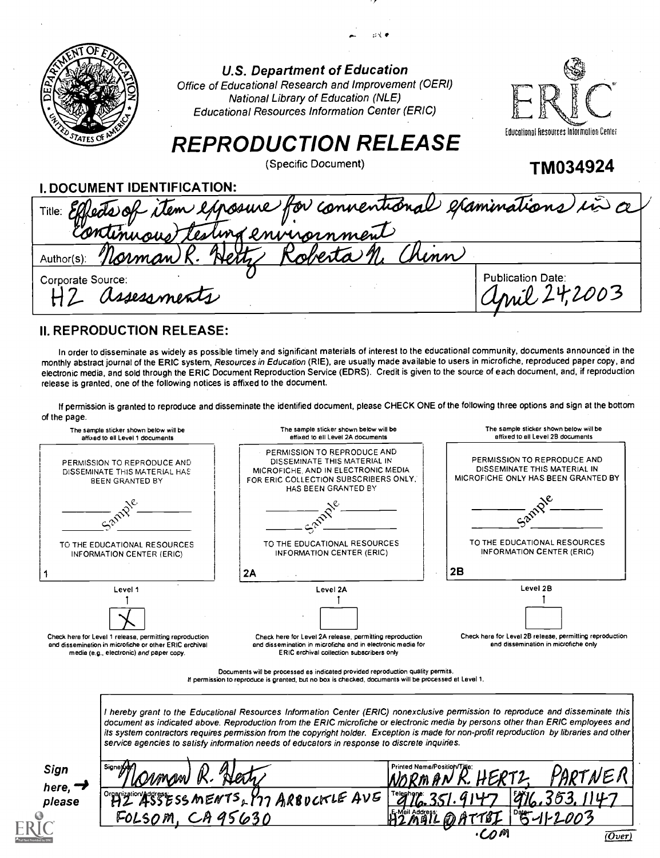| <b>U.S. Department of Education</b><br>Office of Educational Research and Improvement (OERI)<br><b>National Library of Education (NLE)</b><br><b>Educational Resources Information Center (ERIC)</b> |                                                                                            |
|------------------------------------------------------------------------------------------------------------------------------------------------------------------------------------------------------|--------------------------------------------------------------------------------------------|
|                                                                                                                                                                                                      | Educational Resources Information Center                                                   |
| (Specific Document)                                                                                                                                                                                  | TM034924                                                                                   |
| I. DOCUMENT IDENTIFICATION:                                                                                                                                                                          |                                                                                            |
|                                                                                                                                                                                                      |                                                                                            |
| <b>Net</b>                                                                                                                                                                                           |                                                                                            |
| Lasess ments                                                                                                                                                                                         | <b>Publication Date:</b><br>0.242003                                                       |
|                                                                                                                                                                                                      | <b>REPRODUCTION RELEASE</b><br>Effects of item exposure for connentional examinations in a |

### II. REPRODUCTION RELEASE:

In order to disseminate as widely as possible timely and significant materials of interest to the educational community, documents announced in the monthly abstract journal of the ERIC system, Resources in Education (RIE), are usually made available to users in microfiche, reproduced paper copy, and electronic media, and sold through the ERIC Document Reproduction Service (EDRS). Credit is given to the source of each document, and, if reproduction release is granted, one of the following notices is affixed to the document.

If permission is granted to reproduce and disseminate the identified document, please CHECK ONE of the following three options and sign at the bottom of the page.



If permission to reproduce is granted, but no box is checked, documents will be processed at Level 1.

I hereby grant to the Educational Resources Information Center (ERIC) nonexclusive permission to reproduce and disseminate this document as indicated above. Reproduction from the ERIC microfiche or electronic media by persons other than ERIC employees and its system contractors requires permission from the copyright holder. Exception is made for non-profit reproduction by libraries and other service agencies to satisfy information needs of educators in response to discrete inquiries.

| <b>Signeyye</b>   | Printed Nama/Position/Tilla:         |                                                                                                                                                                                                       |
|-------------------|--------------------------------------|-------------------------------------------------------------------------------------------------------------------------------------------------------------------------------------------------------|
|                   |                                      |                                                                                                                                                                                                       |
|                   |                                      |                                                                                                                                                                                                       |
| CA95630<br>FOLSOM | $85 - 11 - 2003$<br>A A T T A T<br>க |                                                                                                                                                                                                       |
|                   |                                      |                                                                                                                                                                                                       |
|                   | $\mathcal{R}$ .<br>Herr,<br>Ovmaw    | PARTNER<br>HERTZ.<br>WORMAN K<br><b>FAX17</b><br>Teleghange: 2 -1<br>$\mathcal{L}$ $\mathcal{L}$<br>$ ^\circ$ HZ 455555 MENTS, YTT ARBUCKLE AVE  <br>$12$ $m$ <sup>a</sup> l<br>$\cdot$ COM<br>(Over) |